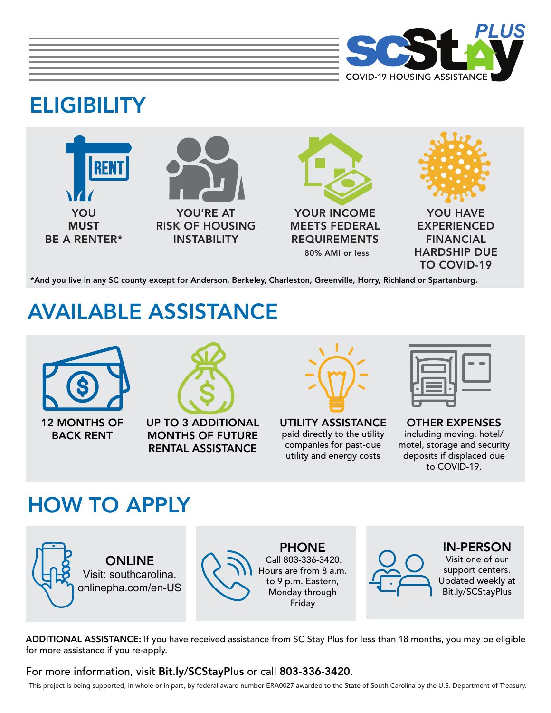

# **ELIGIBILITY**



\*And you live in any SC county except for Anderson, Berkeley, Charleston, Greenville, Horry, Richland or Spartanburg.

# AVAILABLE ASSISTANCE



12 MONTHS OF BACK RENT



UP TO 3 ADDITIONAL MONTHS OF FUTURE RENTAL ASSISTANCE



UTILITY ASSISTANCE paid directly to the utility companies for past-due utility and energy costs

OTHER EXPENSES including moving, hotel/ motel, storage and security deposits if displaced due to COVID-19.

### HOW TO APPLY





PHONE Call 803-336-3420. Hours are from 8 a.m. to 9 p.m. Eastern, Monday through Friday



#### IN-PERSON

Visit one of our support centers. Updated weekly at [Bit.ly/SCStayPlus](https://schousing.com/Home/SC-Stay-Plus)

ADDITIONAL ASSISTANCE: If you have received assistance from SC Stay Plus for less than 18 months, you may be eligible for more assistance if you re-apply.

For more information, visit [Bit.ly/SCStayPlus](https://schousing.com/Home/SC-Stay-Plus) or call 803-336-3420.

This project is being supported, in whole or in part, by federal award number ERA0027 awarded to the State of South Carolina by the U.S. Department of Treasury.